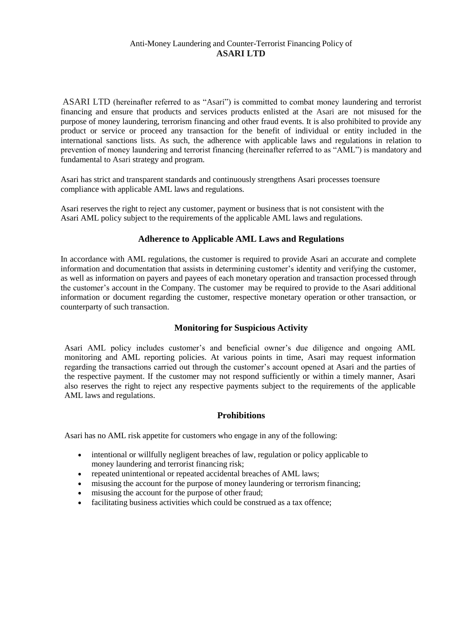### Anti-Money Laundering and Counter-Terrorist Financing Policy of **ASARI LTD**

ASARI LTD (hereinafter referred to as "Asari") is committed to combat money laundering and terrorist financing and ensure that products and services products enlisted at the Asari are not misused for the purpose of money laundering, terrorism financing and other fraud events. It is also prohibited to provide any product or service or proceed any transaction for the benefit of individual or entity included in the international sanctions lists. As such, the adherence with applicable laws and regulations in relation to prevention of money laundering and terrorist financing (hereinafter referred to as "AML") is mandatory and fundamental to Asari strategy and program.

Asari has strict and transparent standards and continuously strengthens Asari processes toensure compliance with applicable AML laws and regulations.

Asari reserves the right to reject any customer, payment or business that is not consistent with the Asari AML policy subject to the requirements of the applicable AML laws and regulations.

# **Adherence to Applicable AML Laws and Regulations**

In accordance with AML regulations, the customer is required to provide Asari an accurate and complete information and documentation that assists in determining customer's identity and verifying the customer, as well as information on payers and payees of each monetary operation and transaction processed through the customer's account in the Company. The customer may be required to provide to the Asari additional information or document regarding the customer, respective monetary operation or other transaction, or counterparty of such transaction.

# **Monitoring for Suspicious Activity**

Asari AML policy includes customer's and beneficial owner's due diligence and ongoing AML monitoring and AML reporting policies. At various points in time, Asari may request information regarding the transactions carried out through the customer's account opened at Asari and the parties of the respective payment. If the customer may not respond sufficiently or within a timely manner, Asari also reserves the right to reject any respective payments subject to the requirements of the applicable AML laws and regulations.

#### **Prohibitions**

Asari has no AML risk appetite for customers who engage in any of the following:

- intentional or willfully negligent breaches of law, regulation or policy applicable to money laundering and terrorist financing risk;
- repeated unintentional or repeated accidental breaches of AML laws;
- misusing the account for the purpose of money laundering or terrorism financing;
- misusing the account for the purpose of other fraud;
- facilitating business activities which could be construed as a tax offence;